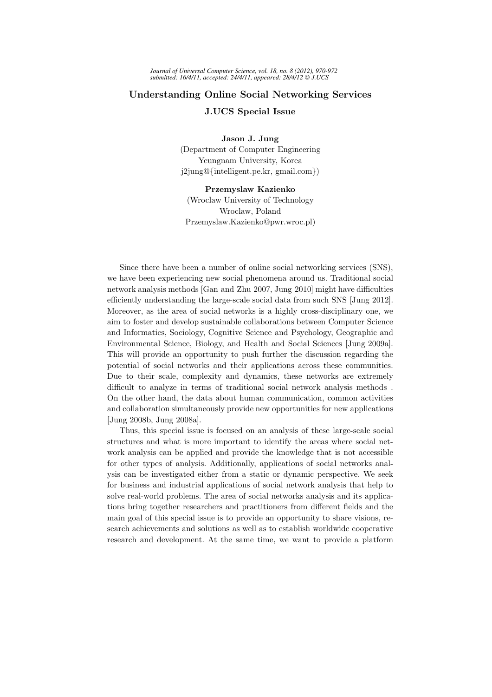## Understanding Online Social Networking Services J.UCS Special Issue

Jason J. Jung

(Department of Computer Engineering Yeungnam University, Korea j2jung@{intelligent.pe.kr, gmail.com})

## Przemyslaw Kazienko

(Wroclaw University of Technology Wroclaw, Poland Przemyslaw.Kazienko@pwr.wroc.pl)

Since there have been a number of online social networking services (SNS), we have been experiencing new social phenomena around us. Traditional social network analysis methods [Gan and Zhu 2007, Jung 2010] might have difficulties efficiently understanding the large-scale social data from such SNS [Jung 2012]. Moreover, as the area of social networks is a highly cross-disciplinary one, we aim to foster and develop sustainable collaborations between Computer Science and Informatics, Sociology, Cognitive Science and Psychology, Geographic and Environmental Science, Biology, and Health and Social Sciences [Jung 2009a]. This will provide an opportunity to push further the discussion regarding the potential of social networks and their applications across these communities. Due to their scale, complexity and dynamics, these networks are extremely difficult to analyze in terms of traditional social network analysis methods . On the other hand, the data about human communication, common activities and collaboration simultaneously provide new opportunities for new applications [Jung 2008b, Jung 2008a].

Thus, this special issue is focused on an analysis of these large-scale social structures and what is more important to identify the areas where social network analysis can be applied and provide the knowledge that is not accessible for other types of analysis. Additionally, applications of social networks analysis can be investigated either from a static or dynamic perspective. We seek for business and industrial applications of social network analysis that help to solve real-world problems. The area of social networks analysis and its applications bring together researchers and practitioners from different fields and the main goal of this special issue is to provide an opportunity to share visions, research achievements and solutions as well as to establish worldwide cooperative research and development. At the same time, we want to provide a platform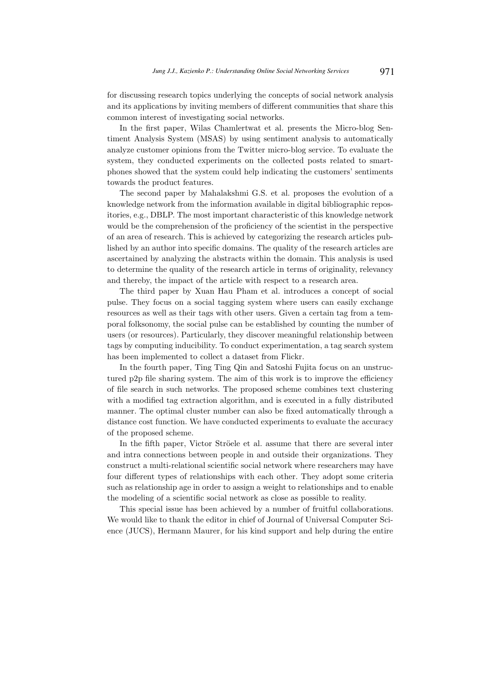for discussing research topics underlying the concepts of social network analysis and its applications by inviting members of different communities that share this common interest of investigating social networks.

In the first paper, Wilas Chamlertwat et al. presents the Micro-blog Sentiment Analysis System (MSAS) by using sentiment analysis to automatically analyze customer opinions from the Twitter micro-blog service. To evaluate the system, they conducted experiments on the collected posts related to smartphones showed that the system could help indicating the customers' sentiments towards the product features.

The second paper by Mahalakshmi G.S. et al. proposes the evolution of a knowledge network from the information available in digital bibliographic repositories, e.g., DBLP. The most important characteristic of this knowledge network would be the comprehension of the proficiency of the scientist in the perspective of an area of research. This is achieved by categorizing the research articles published by an author into specific domains. The quality of the research articles are ascertained by analyzing the abstracts within the domain. This analysis is used to determine the quality of the research article in terms of originality, relevancy and thereby, the impact of the article with respect to a research area.

The third paper by Xuan Hau Pham et al. introduces a concept of social pulse. They focus on a social tagging system where users can easily exchange resources as well as their tags with other users. Given a certain tag from a temporal folksonomy, the social pulse can be established by counting the number of users (or resources). Particularly, they discover meaningful relationship between tags by computing inducibility. To conduct experimentation, a tag search system has been implemented to collect a dataset from Flickr.

In the fourth paper, Ting Ting Qin and Satoshi Fujita focus on an unstructured p2p file sharing system. The aim of this work is to improve the efficiency of file search in such networks. The proposed scheme combines text clustering with a modified tag extraction algorithm, and is executed in a fully distributed manner. The optimal cluster number can also be fixed automatically through a distance cost function. We have conducted experiments to evaluate the accuracy of the proposed scheme.

In the fifth paper, Victor Ströele et al. assume that there are several inter and intra connections between people in and outside their organizations. They construct a multi-relational scientific social network where researchers may have four different types of relationships with each other. They adopt some criteria such as relationship age in order to assign a weight to relationships and to enable the modeling of a scientific social network as close as possible to reality.

This special issue has been achieved by a number of fruitful collaborations. We would like to thank the editor in chief of Journal of Universal Computer Science (JUCS), Hermann Maurer, for his kind support and help during the entire